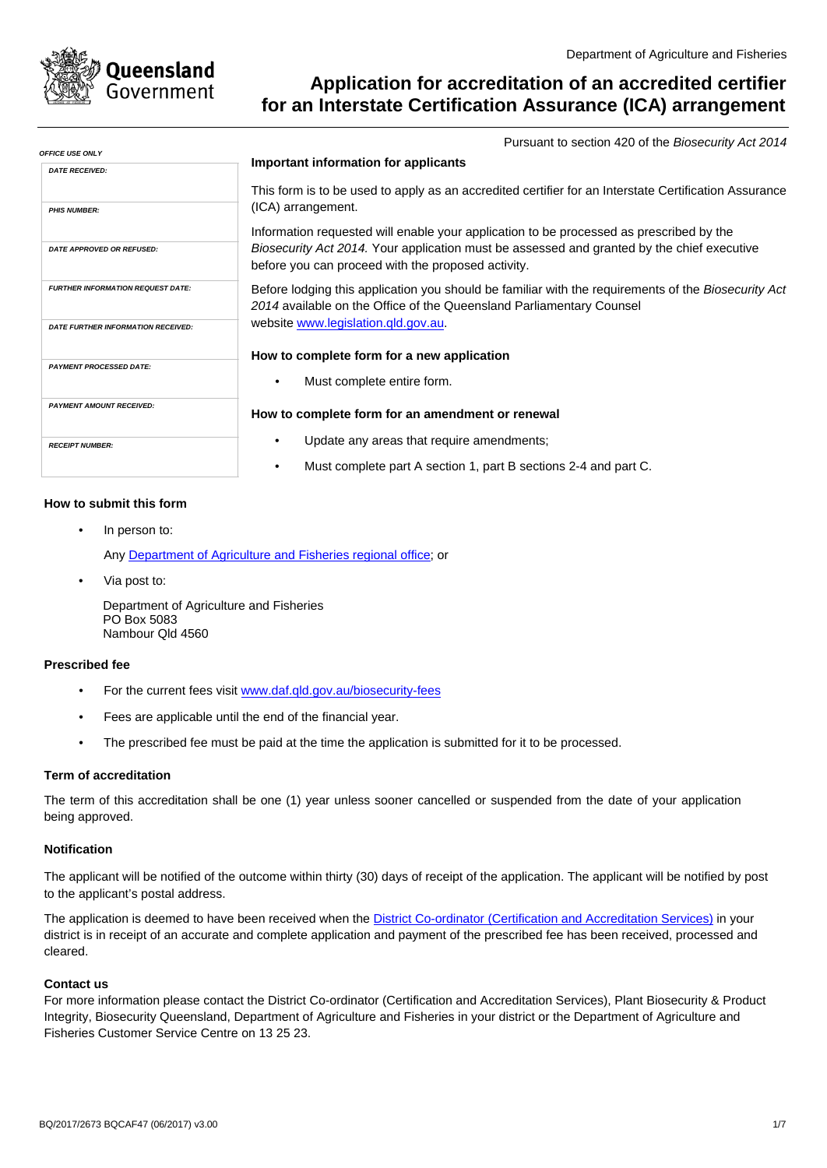

المساف والمساور

# Application for accreditation of an accredited certifier for an Interstate Certification Assurance (ICA) arrangement

Pursuant to section 420 of the Biosecurity Act 2014

| JFFILE USE UNL 1                          |                                                                                                                                                                                    |
|-------------------------------------------|------------------------------------------------------------------------------------------------------------------------------------------------------------------------------------|
| <b>DATE RECEIVED:</b>                     | Important information for applicants                                                                                                                                               |
| <b>PHIS NUMBER:</b>                       | This form is to be used to apply as an accredited certifier for an Interstate Certification Assurance<br>(ICA) arrangement.                                                        |
|                                           | Information requested will enable your application to be processed as prescribed by the                                                                                            |
| <b>DATE APPROVED OR REFUSED:</b>          | <i>Biosecurity Act 2014.</i> Your application must be assessed and granted by the chief executive<br>before you can proceed with the proposed activity.                            |
| <b>FURTHER INFORMATION REQUEST DATE:</b>  | Before lodging this application you should be familiar with the requirements of the <i>Biosecurity Act</i><br>2014 available on the Office of the Queensland Parliamentary Counsel |
| <b>DATE FURTHER INFORMATION RECEIVED:</b> | website www.legislation.gld.gov.au.                                                                                                                                                |
|                                           | How to complete form for a new application                                                                                                                                         |
| <b>PAYMENT PROCESSED DATE:</b>            |                                                                                                                                                                                    |
|                                           | Must complete entire form.                                                                                                                                                         |
| <b>PAYMENT AMOUNT RECEIVED:</b>           | How to complete form for an amendment or renewal                                                                                                                                   |
| <b>RECEIPT NUMBER:</b>                    | Update any areas that require amendments;                                                                                                                                          |
|                                           | Must complete part A section 1, part B sections 2-4 and part C.                                                                                                                    |
|                                           |                                                                                                                                                                                    |

## How to submit this form

In person to:

Any Department of Agriculture and Fisheries regional office; or

Via post to:

Department of Agriculture and Fisheries PO Box 5083 Nambour Qld 4560

#### **Prescribed fee**

- For the current fees visit www.daf.qld.gov.au/biosecurity-fees
- Fees are applicable until the end of the financial year.
- The prescribed fee must be paid at the time the application is submitted for it to be processed.  $\bullet$

## **Term of accreditation**

The term of this accreditation shall be one (1) year unless sooner cancelled or suspended from the date of your application being approved.

## **Notification**

The applicant will be notified of the outcome within thirty (30) days of receipt of the application. The applicant will be notified by post to the applicant's postal address.

The application is deemed to have been received when the District Co-ordinator (Certification and Accreditation Services) in your district is in receipt of an accurate and complete application and payment of the prescribed fee has been received, processed and cleared.

## **Contact us**

For more information please contact the District Co-ordinator (Certification and Accreditation Services), Plant Biosecurity & Product Integrity, Biosecurity Queensland, Department of Agriculture and Fisheries in your district or the Department of Agriculture and Fisheries Customer Service Centre on 13 25 23.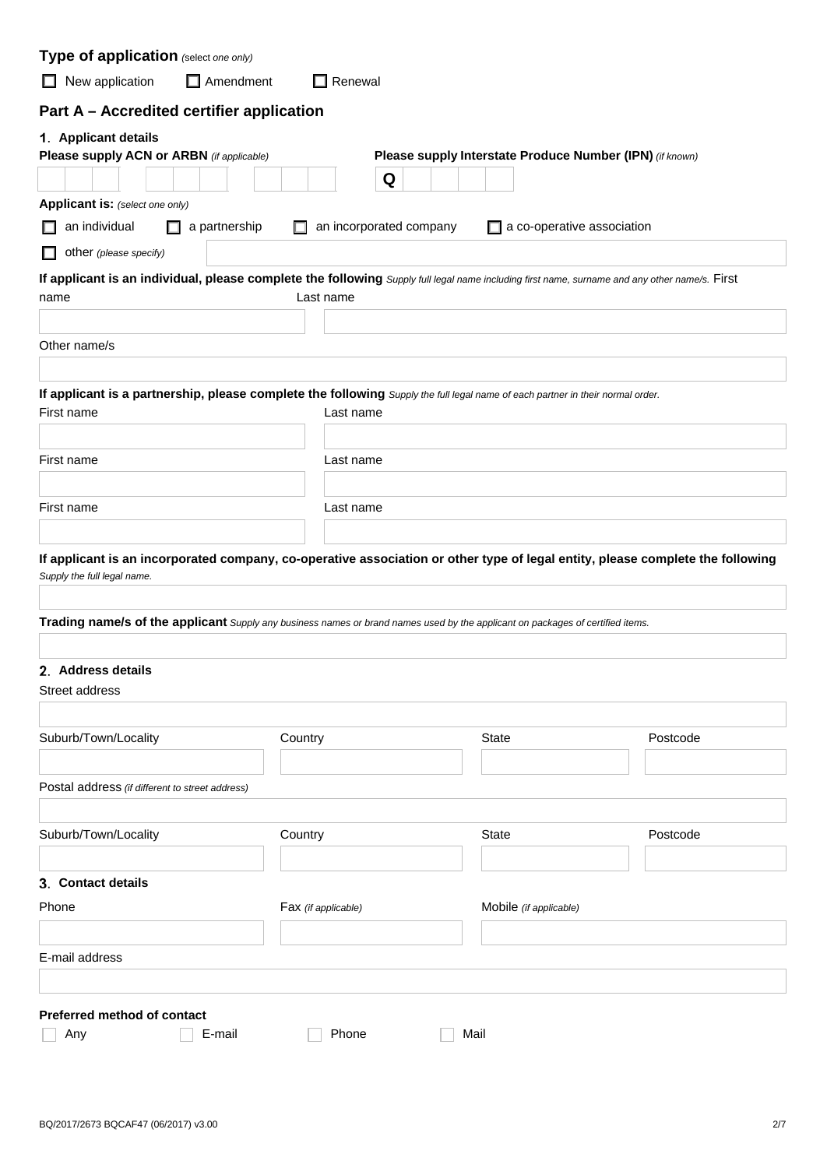| Type of application (select one only)                                                                                                                         |                     |                         |   |                        |                                                          |          |
|---------------------------------------------------------------------------------------------------------------------------------------------------------------|---------------------|-------------------------|---|------------------------|----------------------------------------------------------|----------|
| New application<br>$\Box$ Amendment<br>$\Box$                                                                                                                 |                     | Renewal                 |   |                        |                                                          |          |
| Part A - Accredited certifier application                                                                                                                     |                     |                         |   |                        |                                                          |          |
| 1. Applicant details<br>Please supply ACN or ARBN (if applicable)                                                                                             |                     |                         | Q |                        | Please supply Interstate Produce Number (IPN) (if known) |          |
| Applicant is: (select one only)                                                                                                                               |                     |                         |   |                        |                                                          |          |
| an individual<br>a partnership                                                                                                                                |                     | an incorporated company |   |                        | a co-operative association                               |          |
| other (please specify)                                                                                                                                        |                     |                         |   |                        |                                                          |          |
| If applicant is an individual, please complete the following Supply full legal name including first name, surname and any other name/s. First                 |                     |                         |   |                        |                                                          |          |
| name                                                                                                                                                          |                     | Last name               |   |                        |                                                          |          |
|                                                                                                                                                               |                     |                         |   |                        |                                                          |          |
| Other name/s                                                                                                                                                  |                     |                         |   |                        |                                                          |          |
|                                                                                                                                                               |                     |                         |   |                        |                                                          |          |
| If applicant is a partnership, please complete the following Supply the full legal name of each partner in their normal order.<br>First name                  |                     | Last name               |   |                        |                                                          |          |
|                                                                                                                                                               |                     |                         |   |                        |                                                          |          |
| First name                                                                                                                                                    |                     | Last name               |   |                        |                                                          |          |
|                                                                                                                                                               |                     |                         |   |                        |                                                          |          |
| First name                                                                                                                                                    |                     | Last name               |   |                        |                                                          |          |
|                                                                                                                                                               |                     |                         |   |                        |                                                          |          |
| If applicant is an incorporated company, co-operative association or other type of legal entity, please complete the following<br>Supply the full legal name. |                     |                         |   |                        |                                                          |          |
|                                                                                                                                                               |                     |                         |   |                        |                                                          |          |
| Trading name/s of the applicant Supply any business names or brand names used by the applicant on packages of certified items.                                |                     |                         |   |                        |                                                          |          |
| 2. Address details                                                                                                                                            |                     |                         |   |                        |                                                          |          |
| Street address                                                                                                                                                |                     |                         |   |                        |                                                          |          |
|                                                                                                                                                               |                     |                         |   |                        |                                                          |          |
| Suburb/Town/Locality                                                                                                                                          | Country             |                         |   | <b>State</b>           |                                                          | Postcode |
|                                                                                                                                                               |                     |                         |   |                        |                                                          |          |
| Postal address (if different to street address)                                                                                                               |                     |                         |   |                        |                                                          |          |
|                                                                                                                                                               |                     |                         |   |                        |                                                          |          |
| Suburb/Town/Locality                                                                                                                                          | Country             |                         |   | <b>State</b>           |                                                          | Postcode |
|                                                                                                                                                               |                     |                         |   |                        |                                                          |          |
| 3. Contact details                                                                                                                                            |                     |                         |   |                        |                                                          |          |
| Phone                                                                                                                                                         | Fax (if applicable) |                         |   | Mobile (if applicable) |                                                          |          |
|                                                                                                                                                               |                     |                         |   |                        |                                                          |          |
| E-mail address                                                                                                                                                |                     |                         |   |                        |                                                          |          |
|                                                                                                                                                               |                     |                         |   |                        |                                                          |          |
| Preferred method of contact                                                                                                                                   |                     |                         |   |                        |                                                          |          |
| E-mail<br>Any                                                                                                                                                 |                     | Phone                   |   | Mail                   |                                                          |          |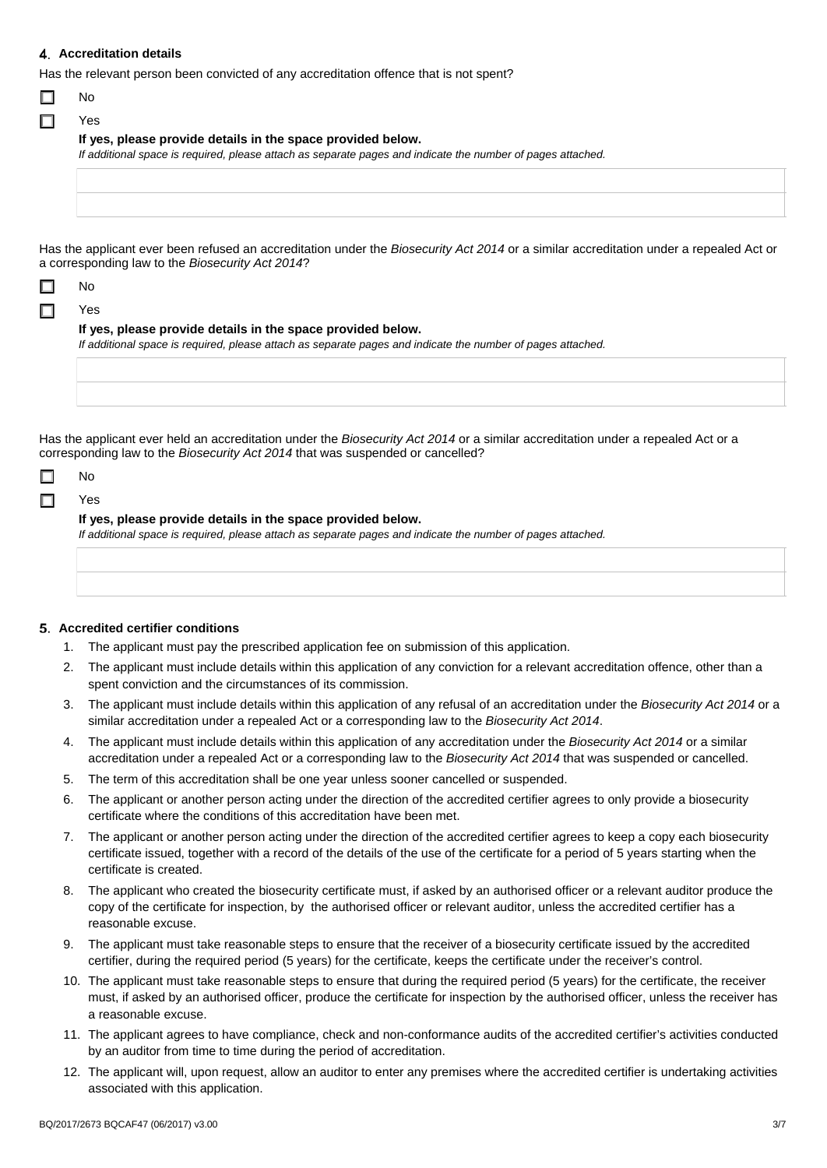## 4. Accreditation details

Has the relevant person been convicted of any accreditation offence that is not spent?

|  | ٦r |
|--|----|
|--|----|

| i |  |
|---|--|
|   |  |
|   |  |
|   |  |

Yes

|  | If yes, please provide details in the space provided below. |  |
|--|-------------------------------------------------------------|--|
|--|-------------------------------------------------------------|--|

If additional space is required, please attach as separate pages and indicate the number of pages attached.

Has the applicant ever been refused an accreditation under the Biosecurity Act 2014 or a similar accreditation under a repealed Act or a corresponding law to the Biosecurity Act 2014?

|--|--|

#### п Yes

| If yes, please provide details in the space provided below.                                                 |  |
|-------------------------------------------------------------------------------------------------------------|--|
| If additional space is required, please attach as separate pages and indicate the number of pages attached. |  |
|                                                                                                             |  |

Has the applicant ever held an accreditation under the Biosecurity Act 2014 or a similar accreditation under a repealed Act or a corresponding law to the Biosecurity Act 2014 that was suspended or cancelled?

|--|--|

#### $\Box$ Yes

#### If yes, please provide details in the space provided below.

If additional space is required, please attach as separate pages and indicate the number of pages attached.

#### 5. Accredited certifier conditions

- 1. The applicant must pay the prescribed application fee on submission of this application.
- The applicant must include details within this application of any conviction for a relevant accreditation offence, other than a  $2.$ spent conviction and the circumstances of its commission.
- The applicant must include details within this application of any refusal of an accreditation under the Biosecurity Act 2014 or a  $\mathcal{R}$ similar accreditation under a repealed Act or a corresponding law to the Biosecurity Act 2014.
- 4. The applicant must include details within this application of any accreditation under the Biosecurity Act 2014 or a similar accreditation under a repealed Act or a corresponding law to the Biosecurity Act 2014 that was suspended or cancelled.
- 5. The term of this accreditation shall be one year unless sooner cancelled or suspended.
- The applicant or another person acting under the direction of the accredited certifier agrees to only provide a biosecurity 6. certificate where the conditions of this accreditation have been met.
- The applicant or another person acting under the direction of the accredited certifier agrees to keep a copy each biosecurity 7. certificate issued, together with a record of the details of the use of the certificate for a period of 5 years starting when the certificate is created.
- 8. The applicant who created the biosecurity certificate must, if asked by an authorised officer or a relevant auditor produce the copy of the certificate for inspection, by the authorised officer or relevant auditor, unless the accredited certifier has a reasonable excuse.
- 9. The applicant must take reasonable steps to ensure that the receiver of a biosecurity certificate issued by the accredited certifier, during the required period (5 years) for the certificate, keeps the certificate under the receiver's control.
- 10. The applicant must take reasonable steps to ensure that during the required period (5 years) for the certificate, the receiver must, if asked by an authorised officer, produce the certificate for inspection by the authorised officer, unless the receiver has a reasonable excuse.
- 11. The applicant agrees to have compliance, check and non-conformance audits of the accredited certifier's activities conducted by an auditor from time to time during the period of accreditation.
- 12. The applicant will, upon request, allow an auditor to enter any premises where the accredited certifier is undertaking activities associated with this application.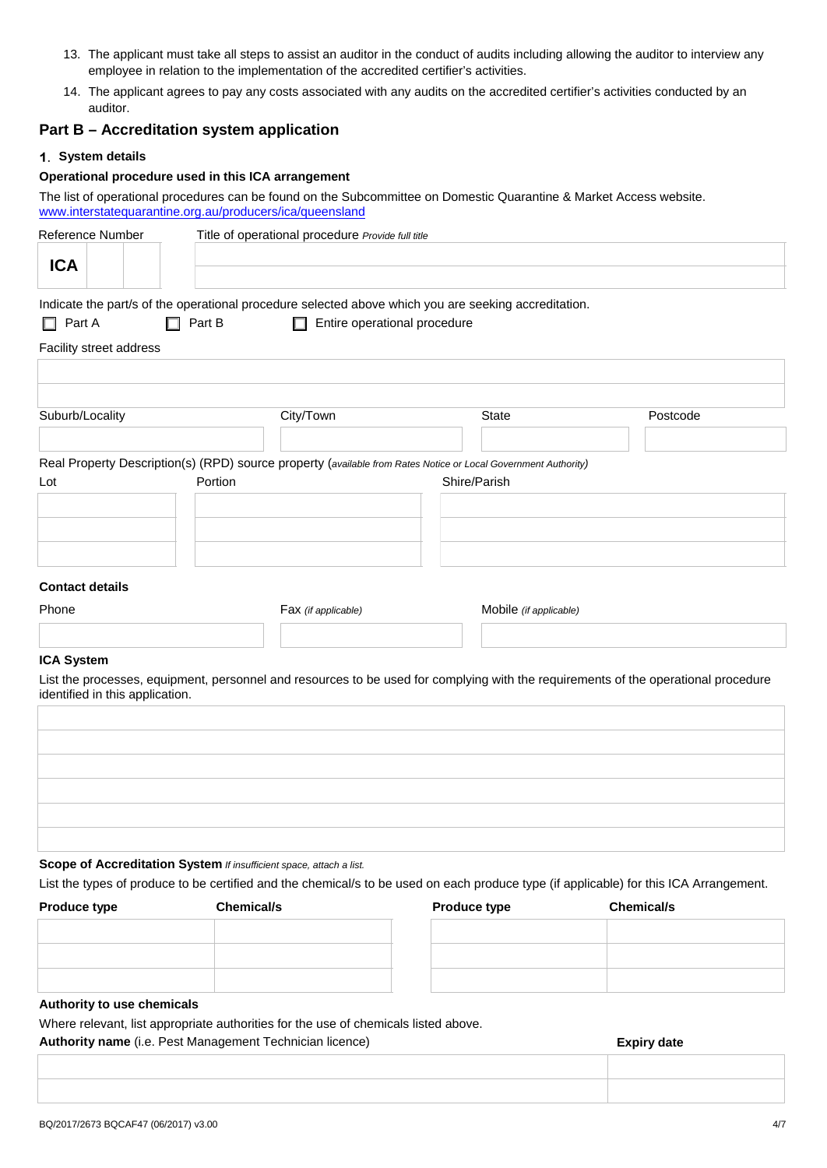- 13. The applicant must take all steps to assist an auditor in the conduct of audits including allowing the auditor to interview any employee in relation to the implementation of the accredited certifier's activities.
- 14. The applicant agrees to pay any costs associated with any audits on the accredited certifier's activities conducted by an auditor.

# Part B - Accreditation system application

## 1. System details

# Operational procedure used in this ICA arrangement

The list of operational procedures can be found on the Subcommittee on Domestic Quarantine & Market Access website. www.interstatequarantine.org.au/producers/ica/queensland

| Reference Number                                                    | Title of operational procedure Provide full title                                                              |                        |                                                                                                                                        |
|---------------------------------------------------------------------|----------------------------------------------------------------------------------------------------------------|------------------------|----------------------------------------------------------------------------------------------------------------------------------------|
| <b>ICA</b>                                                          |                                                                                                                |                        |                                                                                                                                        |
|                                                                     |                                                                                                                |                        |                                                                                                                                        |
|                                                                     | Indicate the part/s of the operational procedure selected above which you are seeking accreditation.           |                        |                                                                                                                                        |
| $\Box$ Part B<br>Part A<br>П                                        | Entire operational procedure<br>П                                                                              |                        |                                                                                                                                        |
| Facility street address                                             |                                                                                                                |                        |                                                                                                                                        |
|                                                                     |                                                                                                                |                        |                                                                                                                                        |
|                                                                     |                                                                                                                |                        |                                                                                                                                        |
| Suburb/Locality                                                     | City/Town                                                                                                      | <b>State</b>           | Postcode                                                                                                                               |
|                                                                     |                                                                                                                |                        |                                                                                                                                        |
|                                                                     | Real Property Description(s) (RPD) source property (available from Rates Notice or Local Government Authority) |                        |                                                                                                                                        |
| Lot                                                                 | Portion                                                                                                        | Shire/Parish           |                                                                                                                                        |
|                                                                     |                                                                                                                |                        |                                                                                                                                        |
|                                                                     |                                                                                                                |                        |                                                                                                                                        |
|                                                                     |                                                                                                                |                        |                                                                                                                                        |
|                                                                     |                                                                                                                |                        |                                                                                                                                        |
| <b>Contact details</b>                                              |                                                                                                                |                        |                                                                                                                                        |
| Phone                                                               | Fax (if applicable)                                                                                            | Mobile (if applicable) |                                                                                                                                        |
|                                                                     |                                                                                                                |                        |                                                                                                                                        |
| <b>ICA System</b>                                                   |                                                                                                                |                        |                                                                                                                                        |
| identified in this application.                                     |                                                                                                                |                        | List the processes, equipment, personnel and resources to be used for complying with the requirements of the operational procedure     |
|                                                                     |                                                                                                                |                        |                                                                                                                                        |
|                                                                     |                                                                                                                |                        |                                                                                                                                        |
|                                                                     |                                                                                                                |                        |                                                                                                                                        |
|                                                                     |                                                                                                                |                        |                                                                                                                                        |
|                                                                     |                                                                                                                |                        |                                                                                                                                        |
|                                                                     |                                                                                                                |                        |                                                                                                                                        |
|                                                                     |                                                                                                                |                        |                                                                                                                                        |
| Scope of Accreditation System If insufficient space, attach a list. |                                                                                                                |                        | List the types of produce to be certified and the chemical/s to be used on each produce type (if applicable) for this ICA Arrangement. |
| Produce type                                                        | <b>Chemical/s</b>                                                                                              | Produce type           | <b>Chemical/s</b>                                                                                                                      |
|                                                                     |                                                                                                                |                        |                                                                                                                                        |

#### Authority to use chemicals

Where relevant, list appropriate authorities for the use of chemicals listed above.

Authority name (i.e. Pest Management Technician licence)

**Expiry date**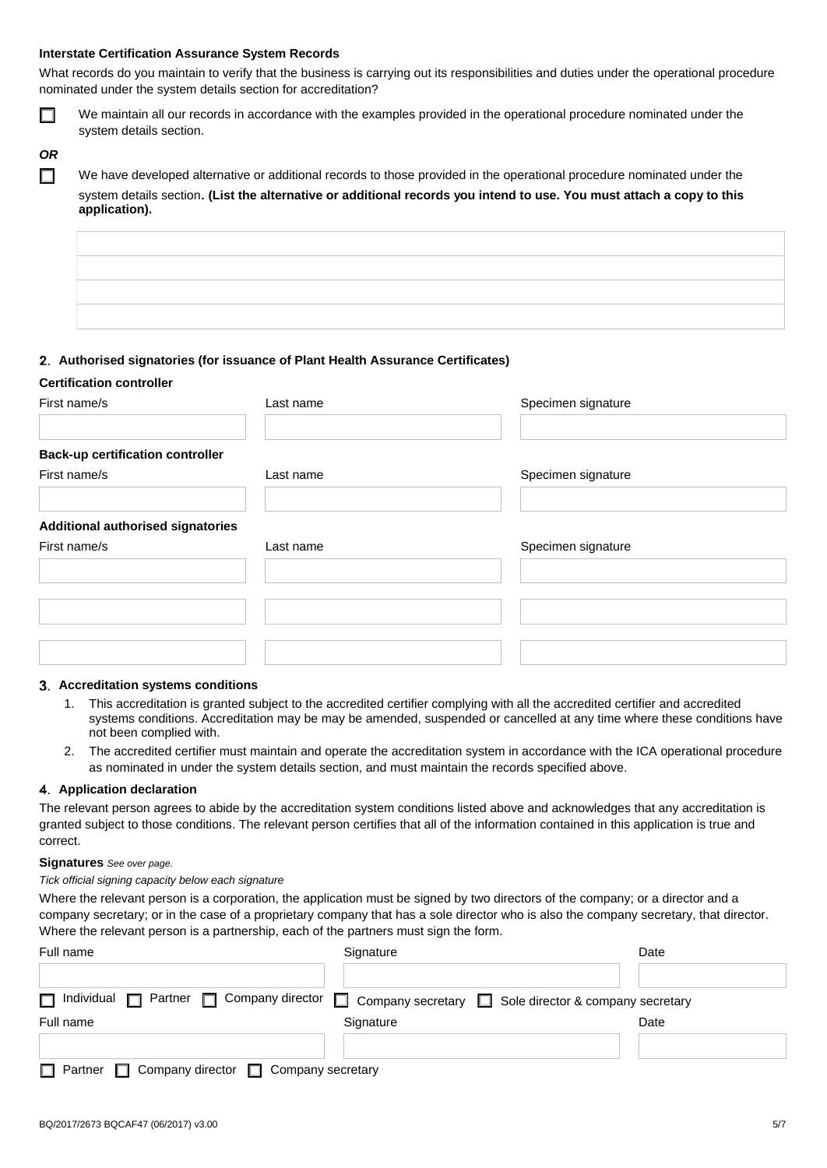#### **Interstate Certification Assurance System Records**

What records do you maintain to verify that the business is carrying out its responsibilities and duties under the operational procedure nominated under the system details section for accreditation?

 $\Box$ 

We maintain all our records in accordance with the examples provided in the operational procedure nominated under the system details section.

# **OR** П

We have developed alternative or additional records to those provided in the operational procedure nominated under the system details section. (List the alternative or additional records you intend to use. You must attach a copy to this application).

## 2. Authorised signatories (for issuance of Plant Health Assurance Certificates)

#### **Certification controller**

| First name/s                                            | Last name | Specimen signature |
|---------------------------------------------------------|-----------|--------------------|
| <b>Back-up certification controller</b><br>First name/s | Last name | Specimen signature |
| <b>Additional authorised signatories</b>                |           |                    |
|                                                         |           |                    |
|                                                         | Last name | Specimen signature |
| First name/s                                            |           |                    |

#### 3. Accreditation systems conditions

- This accreditation is granted subject to the accredited certifier complying with all the accredited certifier and accredited  $1<sup>1</sup>$ systems conditions. Accreditation may be may be amended, suspended or cancelled at any time where these conditions have not been complied with.
- 2. The accredited certifier must maintain and operate the accreditation system in accordance with the ICA operational procedure as nominated in under the system details section, and must maintain the records specified above.

#### 4. Application declaration

The relevant person agrees to abide by the accreditation system conditions listed above and acknowledges that any accreditation is granted subject to those conditions. The relevant person certifies that all of the information contained in this application is true and correct.

## Signatures See over page.

#### Tick official signing capacity below each signature

Where the relevant person is a corporation, the application must be signed by two directors of the company; or a director and a company secretary; or in the case of a proprietary company that has a sole director who is also the company secretary, that director. Where the relevant person is a partnership, each of the partners must sign the form.

| Full name                                                       | Signature                                                                                                                   | Date |
|-----------------------------------------------------------------|-----------------------------------------------------------------------------------------------------------------------------|------|
| П.                                                              | Individual <b>n</b> Partner <b>n</b> Company director <b>n</b> Company secretary <b>n</b> Sole director & company secretary |      |
|                                                                 |                                                                                                                             |      |
| Full name                                                       | Signature                                                                                                                   | Date |
|                                                                 |                                                                                                                             |      |
|                                                                 |                                                                                                                             |      |
| $\Box$ Partner $\Box$ Company director $\Box$ Company secretary |                                                                                                                             |      |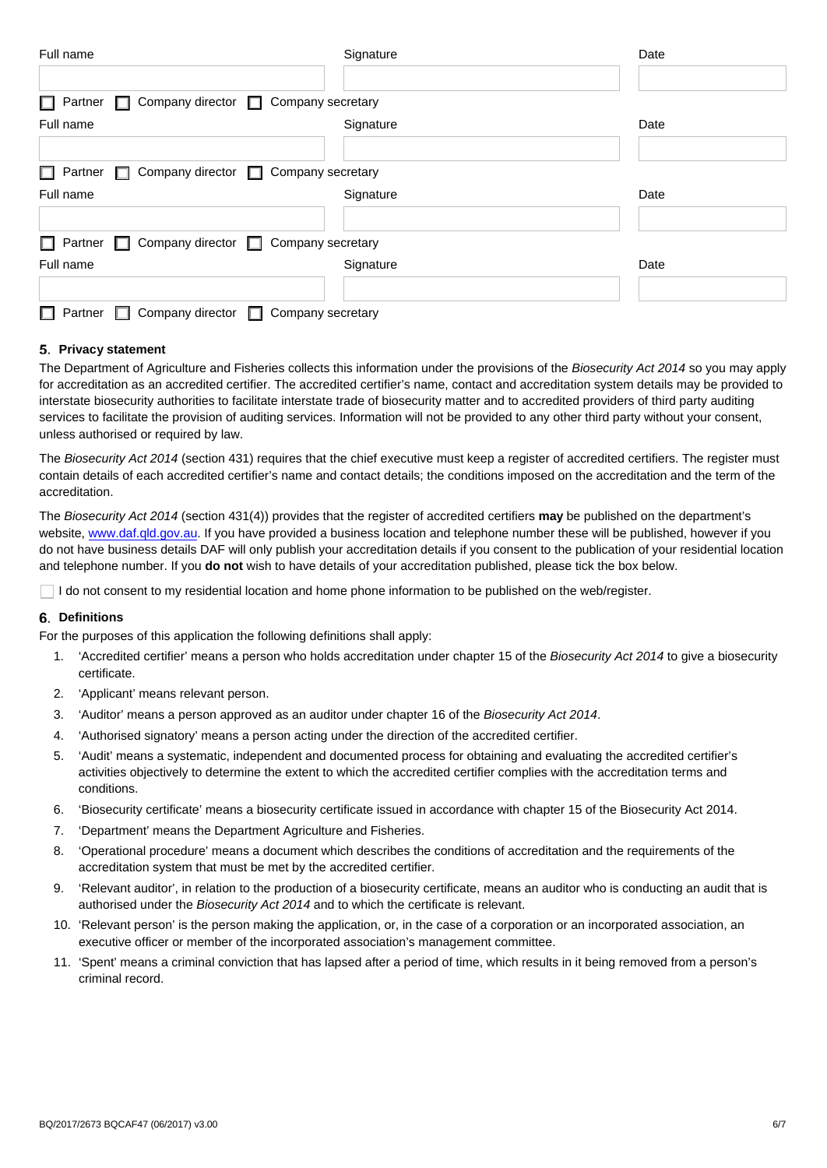| Full name                                                   | Signature         | Date |
|-------------------------------------------------------------|-------------------|------|
|                                                             |                   |      |
| Partner □ Company director □ Company secretary<br>П.        |                   |      |
| Full name                                                   | Signature         | Date |
|                                                             |                   |      |
| Company director □ Company secretary<br>Partner $\Box$<br>П |                   |      |
| Full name                                                   | Signature         | Date |
|                                                             |                   |      |
| Company director □ Company secretary<br>Partner $\Box$<br>П |                   |      |
| Full name                                                   | Signature         | Date |
|                                                             |                   |      |
| Company director $\Box$<br>Partner<br>H                     | Company secretary |      |

## 5. Privacy statement

The Department of Agriculture and Fisheries collects this information under the provisions of the Biosecurity Act 2014 so you may apply for accreditation as an accredited certifier. The accredited certifier's name, contact and accreditation system details may be provided to interstate biosecurity authorities to facilitate interstate trade of biosecurity matter and to accredited providers of third party auditing services to facilitate the provision of auditing services. Information will not be provided to any other third party without your consent, unless authorised or required by law.

The Biosecurity Act 2014 (section 431) requires that the chief executive must keep a register of accredited certifiers. The register must contain details of each accredited certifier's name and contact details; the conditions imposed on the accreditation and the term of the accreditation.

The Biosecurity Act 2014 (section 431(4)) provides that the register of accredited certifiers may be published on the department's website, www.daf.gld.gov.au. If you have provided a business location and telephone number these will be published, however if you do not have business details DAF will only publish your accreditation details if you consent to the publication of your residential location and telephone number. If you do not wish to have details of your accreditation published, please tick the box below.

□ I do not consent to my residential location and home phone information to be published on the web/register.

#### 6. Definitions

For the purposes of this application the following definitions shall apply:

- 1. 'Accredited certifier' means a person who holds accreditation under chapter 15 of the Biosecurity Act 2014 to give a biosecurity certificate.
- 2. 'Applicant' means relevant person.
- 3. 'Auditor' means a person approved as an auditor under chapter 16 of the Biosecurity Act 2014.
- 'Authorised signatory' means a person acting under the direction of the accredited certifier.  $\mathbf{4}$ .
- 'Audit' means a systematic, independent and documented process for obtaining and evaluating the accredited certifier's  $5<sub>1</sub>$ activities objectively to determine the extent to which the accredited certifier complies with the accreditation terms and conditions.
- 6. 'Biosecurity certificate' means a biosecurity certificate issued in accordance with chapter 15 of the Biosecurity Act 2014.
- $\overline{7}$ . 'Department' means the Department Agriculture and Fisheries.
- $\mathsf{R}$ 'Operational procedure' means a document which describes the conditions of accreditation and the requirements of the accreditation system that must be met by the accredited certifier.
- 9. 'Relevant auditor', in relation to the production of a biosecurity certificate, means an auditor who is conducting an audit that is authorised under the Biosecurity Act 2014 and to which the certificate is relevant.
- 10. 'Relevant person' is the person making the application, or, in the case of a corporation or an incorporated association, an executive officer or member of the incorporated association's management committee.
- 11. 'Spent' means a criminal conviction that has lapsed after a period of time, which results in it being removed from a person's criminal record.